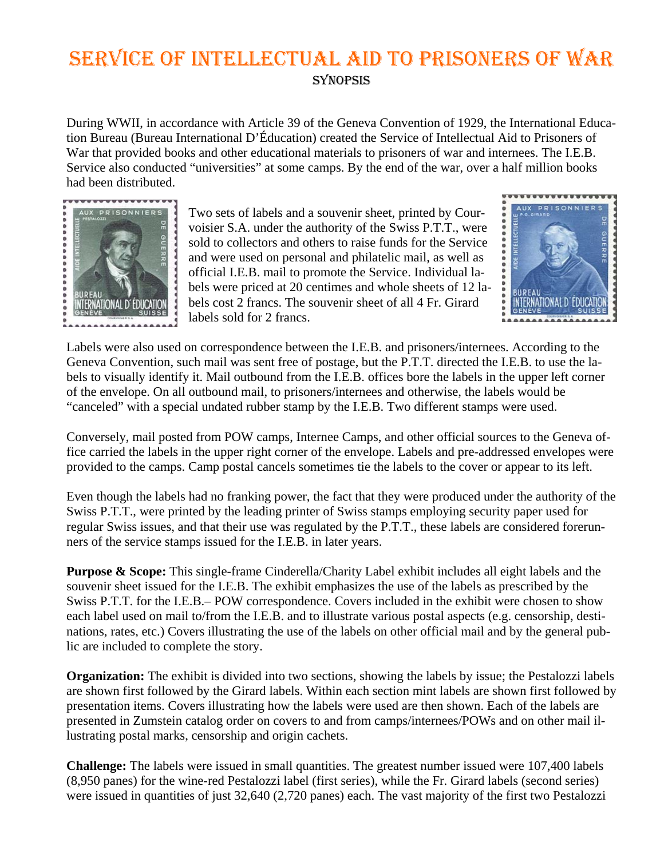## SERVICE OF INTELLECTUAL AID TO PRISONERS OF WAR **SYNOPSIS**

During WWII, in accordance with Article 39 of the Geneva Convention of 1929, the International Education Bureau (Bureau International D'Éducation) created the Service of Intellectual Aid to Prisoners of War that provided books and other educational materials to prisoners of war and internees. The I.E.B. Service also conducted "universities" at some camps. By the end of the war, over a half million books had been distributed.



Two sets of labels and a souvenir sheet, printed by Courvoisier S.A. under the authority of the Swiss P.T.T., were sold to collectors and others to raise funds for the Service and were used on personal and philatelic mail, as well as official I.E.B. mail to promote the Service. Individual labels were priced at 20 centimes and whole sheets of 12 labels cost 2 francs. The souvenir sheet of all 4 Fr. Girard labels sold for 2 francs.



Labels were also used on correspondence between the I.E.B. and prisoners/internees. According to the Geneva Convention, such mail was sent free of postage, but the P.T.T. directed the I.E.B. to use the labels to visually identify it. Mail outbound from the I.E.B. offices bore the labels in the upper left corner of the envelope. On all outbound mail, to prisoners/internees and otherwise, the labels would be "canceled" with a special undated rubber stamp by the I.E.B. Two different stamps were used.

Conversely, mail posted from POW camps, Internee Camps, and other official sources to the Geneva office carried the labels in the upper right corner of the envelope. Labels and pre-addressed envelopes were provided to the camps. Camp postal cancels sometimes tie the labels to the cover or appear to its left.

Even though the labels had no franking power, the fact that they were produced under the authority of the Swiss P.T.T., were printed by the leading printer of Swiss stamps employing security paper used for regular Swiss issues, and that their use was regulated by the P.T.T., these labels are considered forerunners of the service stamps issued for the I.E.B. in later years.

**Purpose & Scope:** This single-frame Cinderella/Charity Label exhibit includes all eight labels and the souvenir sheet issued for the I.E.B. The exhibit emphasizes the use of the labels as prescribed by the Swiss P.T.T. for the I.E.B.– POW correspondence. Covers included in the exhibit were chosen to show each label used on mail to/from the I.E.B. and to illustrate various postal aspects (e.g. censorship, destinations, rates, etc.) Covers illustrating the use of the labels on other official mail and by the general public are included to complete the story.

**Organization:** The exhibit is divided into two sections, showing the labels by issue; the Pestalozzi labels are shown first followed by the Girard labels. Within each section mint labels are shown first followed by presentation items. Covers illustrating how the labels were used are then shown. Each of the labels are presented in Zumstein catalog order on covers to and from camps/internees/POWs and on other mail illustrating postal marks, censorship and origin cachets.

**Challenge:** The labels were issued in small quantities. The greatest number issued were 107,400 labels (8,950 panes) for the wine-red Pestalozzi label (first series), while the Fr. Girard labels (second series) were issued in quantities of just 32,640 (2,720 panes) each. The vast majority of the first two Pestalozzi